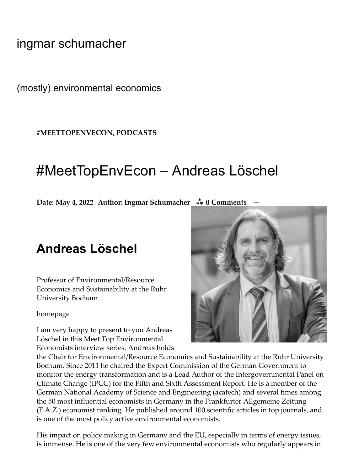# [ingmar schumacher](https://ingmarschumacher.com/)

(mostly) environmental economics

**[#MEETTOPENVECON,](https://ingmarschumacher.com/category/meettopenvecon/) [PODCASTS](https://ingmarschumacher.com/category/podcasts/)**

# #MeetTopEnvEcon – Andreas Löschel

**Date:** [May 4, 2022](https://ingmarschumacher.com/2022/05/04/meettopenvecon-andreas-loschel/) Author: [Ingmar Schumacher](https://ingmarschumacher.com/author/ingmarschumacher/) \*\* [0 Comments](https://ingmarschumacher.com/2022/05/04/meettopenvecon-andreas-loschel/#respond) –

# **Andreas Löschel**

Professor of Environmental/Resource Economics and Sustainability at the [Ruhr](https://www.wiwi.ruhr-uni-bochum.de/cure/index.html.en) [University Bochum](https://www.wiwi.ruhr-uni-bochum.de/cure/index.html.en)

[homepage](https://www.loeschel.org/)

I am very happy to present to you Andreas Löschel in this Meet Top Environmental Economists interview series. Andreas holds



the Chair for Environmental/Resource Economics and Sustainability at the Ruhr University Bochum. Since 2011 he chaired the Expert Commission of the German Government to monitor the energy transformation and is a Lead Author of the Intergovernmental Panel on Climate Change (IPCC) for the Fifth and Sixth Assessment Report. He is a member of the German National Academy of Science and Engineering (acatech) and several times among the 50 most influential economists in Germany in the Frankfurter Allgemeine Zeitung (F.A.Z.) economist ranking. He published around 100 scientific articles in top journals, and is one of the most policy active environmental economists.

His impact on policy making in Germany and the EU, especially in terms of energy issues, is immense. He is one of the very few environmental economists who regularly appears in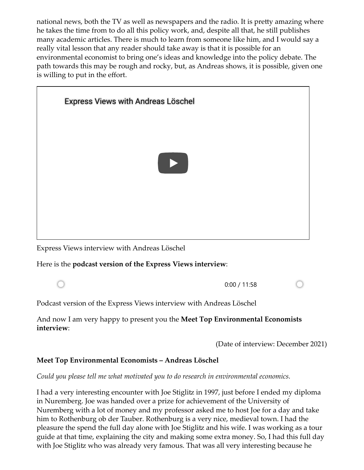national news, both the TV as well as newspapers and the radio. It is pretty amazing where he takes the time from to do all this policy work, and, despite all that, he still publishes many academic articles. There is much to learn from someone like him, and I would say a really vital lesson that any reader should take away is that it is possible for an environmental economist to bring one's ideas and knowledge into the policy debate. The path towards this may be rough and rocky, but, as Andreas shows, it is possible, given one is willing to put in the effort.



Here is the **podcast version of the Express Views interview**:

0:00 / 11:58

Podcast version of the Express Views interview with Andreas Löschel

And now I am very happy to present you the **Meet Top Environmental Economists interview**:

(Date of interview: December 2021)

# **Meet Top Environmental Economists – Andreas Löschel**

*Could you please tell me what motivated you to do research in environmental economics.*

I had a very interesting encounter with Joe Stiglitz in 1997, just before I ended my diploma in Nuremberg. Joe was handed over a prize for achievement of the University of Nuremberg with a lot of money and my professor asked me to host Joe for a day and take him to Rothenburg ob der Tauber. Rothenburg is a very nice, medieval town. I had the pleasure the spend the full day alone with Joe Stigli� and his wife. I was working as a tour guide at that time, explaining the city and making some extra money. So, I had this full day with Joe Stiglitz who was already very famous. That was all very interesting because he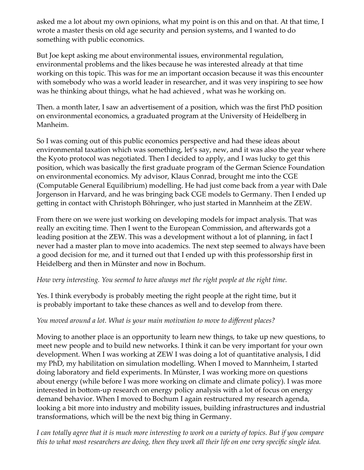asked me a lot about my own opinions, what my point is on this and on that. At that time, I wrote a master thesis on old age security and pension systems, and I wanted to do something with public economics.

But Joe kept asking me about environmental issues, environmental regulation, environmental problems and the likes because he was interested already at that time working on this topic. This was for me an important occasion because it was this encounter with somebody who was a world leader in researcher, and it was very inspiring to see how was he thinking about things, what he had achieved , what was he working on.

Then. a month later, I saw an advertisement of a position, which was the first PhD position on environmental economics, a graduated program at the University of Heidelberg in Manheim.

So I was coming out of this public economics perspective and had these ideas about environmental taxation which was something, let's say, new, and it was also the year where the Kyoto protocol was negotiated. Then I decided to apply, and I was lucky to get this position, which was basically the first graduate program of the German Science Foundation on environmental economics. My advisor, Klaus Conrad, brought me into the CGE (Computable General Equilibrium) modelling. He had just come back from a year with Dale Jorgenson in Harvard, and he was bringing back CGE models to Germany. Then I ended up getting in contact with Christoph Böhringer, who just started in Mannheim at the ZEW.

From there on we were just working on developing models for impact analysis. That was really an exciting time. Then I went to the European Commission, and afterwards got a leading position at the ZEW. This was a development without a lot of planning, in fact I never had a master plan to move into academics. The next step seemed to always have been a good decision for me, and it turned out that I ended up with this professorship first in Heidelberg and then in Münster and now in Bochum.

#### *How very interesting. You seemed to have always met the right people at the right time.*

Yes. I think everybody is probably meeting the right people at the right time, but it is probably important to take these chances as well and to develop from there.

# *You moved around a lot. What is your main motivation to move to different places?*

Moving to another place is an opportunity to learn new things, to take up new questions, to meet new people and to build new networks. I think it can be very important for your own development. When I was working at ZEW I was doing a lot of quantitative analysis, I did my PhD, my habilitation on simulation modelling. When I moved to Mannheim, I started doing laboratory and field experiments. In Münster, I was working more on questions about energy (while before I was more working on climate and climate policy). I was more interested in bottom-up research on energy policy analysis with a lot of focus on energy demand behavior. When I moved to Bochum I again restructured my research agenda, looking a bit more into industry and mobility issues, building infrastructures and industrial transformations, which will be the next big thing in Germany.

*I can totally agree that it is much more interesting to work on a variety of topics. But if you compare this to what most researchers are doing, then they work all their life on one very specific single idea.*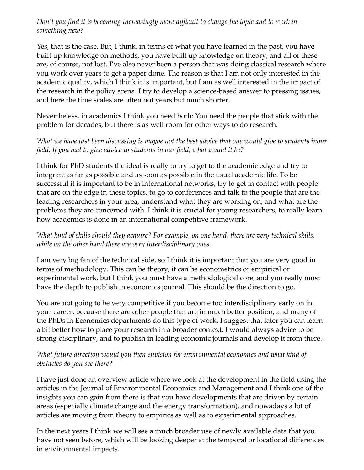*Don't you find it is becoming increasingly more difficult to change the topic and to work in something new?*

Yes, that is the case. But, I think, in terms of what you have learned in the past, you have built up knowledge on methods, you have built up knowledge on theory, and all of these are, of course, not lost. I've also never been a person that was doing classical research where you work over years to get a paper done. The reason is that I am not only interested in the academic quality, which I think it is important, but I am as well interested in the impact of the research in the policy arena. I try to develop a science-based answer to pressing issues, and here the time scales are often not years but much shorter.

Nevertheless, in academics I think you need both: You need the people that stick with the problem for decades, but there is as well room for other ways to do research.

*What we have just been discussing is maybe not the best advice that one would give to students inour field. If you had to give advice to students in our field, what would it be?*

I think for PhD students the ideal is really to try to get to the academic edge and try to integrate as far as possible and as soon as possible in the usual academic life. To be successful it is important to be in international networks, try to get in contact with people that are on the edge in these topics, to go to conferences and talk to the people that are the leading researchers in your area, understand what they are working on, and what are the problems they are concerned with. I think it is crucial for young researchers, to really learn how academics is done in an international competitive framework.

#### *What kind of skills should they acquire? For example, on one hand, there are very technical skills, while on the other hand there are very interdisciplinary ones.*

I am very big fan of the technical side, so I think it is important that you are very good in terms of methodology. This can be theory, it can be econometrics or empirical or experimental work, but I think you must have a methodological core, and you really must have the depth to publish in economics journal. This should be the direction to go.

You are not going to be very competitive if you become too interdisciplinary early on in your career, because there are other people that are in much better position, and many of the PhDs in Economics departments do this type of work. I suggest that later you can learn a bit better how to place your research in a broader context. I would always advice to be strong disciplinary, and to publish in leading economic journals and develop it from there.

#### *What future direction would you then envision for environmental economics and what kind of obstacles do you see there?*

I have just done an overview article where we look at the development in the field using the articles in the Journal of Environmental Economics and Management and I think one of the insights you can gain from there is that you have developments that are driven by certain areas (especially climate change and the energy transformation), and nowadays a lot of articles are moving from theory to empirics as well as to experimental approaches.

In the next years I think we will see a much broader use of newly available data that you have not seen before, which will be looking deeper at the temporal or locational differences in environmental impacts.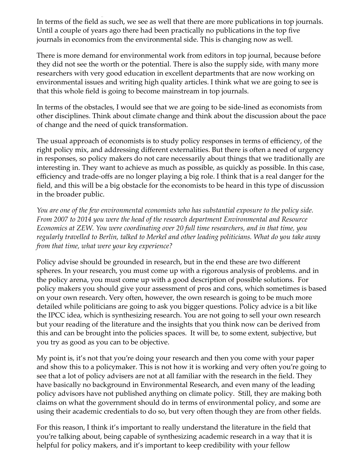In terms of the field as such, we see as well that there are more publications in top journals. Until a couple of years ago there had been practically no publications in the top five journals in economics from the environmental side. This is changing now as well.

in environmental impacts.

There is more demand for environmental work from editors in top journal, because before they did not see the worth or the potential. There is also the supply side, with many more researchers with very good education in excellent departments that are now working on environmental issues and writing high quality articles. I think what we are going to see is that this whole field is going to become mainstream in top journals.

In terms of the obstacles, I would see that we are going to be side-lined as economists from other disciplines. Think about climate change and think about the discussion about the pace of change and the need of quick transformation.

The usual approach of economists is to study policy responses in terms of efficiency, of the right policy mix, and addressing different externalities. But there is often a need of urgency in responses, so policy makers do not care necessarily about things that we traditionally are interesting in. They want to achieve as much as possible, as quickly as possible. In this case, efficiency and trade-offs are no longer playing a big role. I think that is a real danger for the field, and this will be a big obstacle for the economists to be heard in this type of discussion in the broader public.

*You are one of the few environmental economists who has substantial exposure to the policy side. From 2007 to 2014 you were the head of the research department Environmental and Resource Economics at ZEW. You were coordinating over 20 full time researchers, and in that time, you regularly travelled to Berlin, talked to Merkel and other leading politicians. What do you take away from that time, what were your key experience?*

Policy advise should be grounded in research, but in the end these are two different spheres. In your research, you must come up with a rigorous analysis of problems. and in the policy arena, you must come up with a good description of possible solutions. For policy makers you should give your assessment of pros and cons, which sometimes is based on your own research. Very often, however, the own research is going to be much more detailed while politicians are going to ask you bigger questions. Policy advice is a bit like the IPCC idea, which is synthesizing research. You are not going to sell your own research but your reading of the literature and the insights that you think now can be derived from this and can be brought into the policies spaces. It will be, to some extent, subjective, but you try as good as you can to be objective.

My point is, it's not that you're doing your research and then you come with your paper and show this to a policymaker. This is not how it is working and very often you're going to see that a lot of policy advisers are not at all familiar with the research in the field. They have basically no background in Environmental Research, and even many of the leading policy advisors have not published anything on climate policy. Still, they are making both claims on what the government should do in terms of environmental policy, and some are using their academic credentials to do so, but very often though they are from other fields.

For this reason, I think it's important to really understand the literature in the field that you're talking about, being capable of synthesizing academic research in a way that it is helpful for policy makers, and it's important to keep credibility with your fellow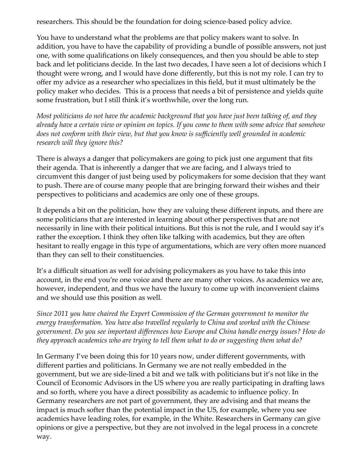researchers. This should be the foundation for doing science-based policy advice.

You have to understand what the problems are that policy makers want to solve. In addition, you have to have the capability of providing a bundle of possible answers, not just one, with some qualifications on likely consequences, and then you should be able to step back and let politicians decide. In the last two decades, I have seen a lot of decisions which I thought were wrong, and I would have done differently, but this is not my role. I can try to offer my advice as a researcher who specializes in this field, but it must ultimately be the policy maker who decides. This is a process that needs a bit of persistence and yields quite some frustration, but I still think it's worthwhile, over the long run.

*Most politicians do not have the academic background that you have just been talking of, and they already have a certain view or opinion on topics. If you come to them with some advice that somehow does not conform with their view, but that you know is sufficiently well grounded in academic research will they ignore this?*

There is always a danger that policymakers are going to pick just one argument that fits their agenda. That is inherently a danger that we are facing, and I always tried to circumvent this danger of just being used by policymakers for some decision that they want to push. There are of course many people that are bringing forward their wishes and their perspectives to politicians and academics are only one of these groups.

It depends a bit on the politician, how they are valuing these different inputs, and there are some politicians that are interested in learning about other perspectives that are not necessarily in line with their political intuitions. But this is not the rule, and I would say it's rather the exception. I think they often like talking with academics, but they are often hesitant to really engage in this type of argumentations, which are very often more nuanced than they can sell to their constituencies.

It's a difficult situation as well for advising policymakers as you have to take this into account, in the end you're one voice and there are many other voices. As academics we are, however, independent, and thus we have the luxury to come up with inconvenient claims and we should use this position as well.

*Since 2011 you have chaired the Expert Commission of the German government to monitor the energy transformation. You have also travelled regularly to China and worked with the Chinese government. Do you see important differences how Europe and China handle energy issues? How do they approach academics who are trying to tell them what to do or suggesting them what do?*

In Germany I've been doing this for 10 years now, under different governments, with different parties and politicians. In Germany we are not really embedded in the government, but we are side-lined a bit and we talk with politicians but it's not like in the Council of Economic Advisors in the US where you are really participating in drafting laws and so forth, where you have a direct possibility as academic to influence policy. In Germany researchers are not part of government, they are advising and that means the impact is much softer than the potential impact in the US, for example, where you see academics have leading roles, for example, in the White. Researchers in Germany can give opinions or give a perspective, but they are not involved in the legal process in a concrete way.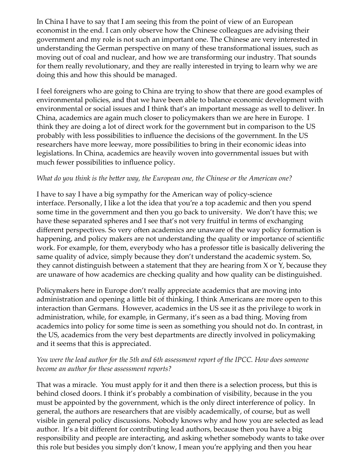In China I have to say that I am seeing this from the point of view of an European economist in the end. I can only observe how the Chinese colleagues are advising their government and my role is not such an important one. The Chinese are very interested in understanding the German perspective on many of these transformational issues, such as moving out of coal and nuclear, and how we are transforming our industry. That sounds for them really revolutionary, and they are really interested in trying to learn why we are doing this and how this should be managed.

I feel foreigners who are going to China are trying to show that there are good examples of environmental policies, and that we have been able to balance economic development with environmental or social issues and I think that's an important message as well to deliver. In China, academics are again much closer to policymakers than we are here in Europe. I think they are doing a lot of direct work for the government but in comparison to the US probably with less possibilities to influence the decisions of the government. In the US researchers have more leeway, more possibilities to bring in their economic ideas into legislations. In China, academics are heavily woven into governmental issues but with much fewer possibilities to influence policy.

#### *What do you think is the better way, the European one, the Chinese or the American one?*

I have to say I have a big sympathy for the American way of policy-science interface. Personally, I like a lot the idea that you're a top academic and then you spend some time in the government and then you go back to university. We don't have this; we have these separated spheres and I see that's not very fruitful in terms of exchanging different perspectives. So very often academics are unaware of the way policy formation is happening, and policy makers are not understanding the quality or importance of scientific work. For example, for them, everybody who has a professor title is basically delivering the same quality of advice, simply because they don't understand the academic system. So, they cannot distinguish between a statement that they are hearing from X or Y, because they are unaware of how academics are checking quality and how quality can be distinguished.

Policymakers here in Europe don't really appreciate academics that are moving into administration and opening a little bit of thinking. I think Americans are more open to this interaction than Germans. However, academics in the US see it as the privilege to work in administration, while, for example, in Germany, it's seen as a bad thing. Moving from academics into policy for some time is seen as something you should not do. In contrast, in the US, academics from the very best departments are directly involved in policymaking and it seems that this is appreciated.

#### *You were the lead author for the 5th and 6th assessment report of the IPCC. How does someone become an author for these assessment reports?*

That was a miracle. You must apply for it and then there is a selection process, but this is behind closed doors. I think it's probably a combination of visibility, because in the you must be appointed by the government, which is the only direct interference of policy. In general, the authors are researchers that are visibly academically, of course, but as well visible in general policy discussions. Nobody knows why and how you are selected as lead author. It's a bit different for contributing lead authors, because then you have a big responsibility and people are interacting, and asking whether somebody wants to take over this role but besides you simply don't know, I mean you're applying and then you hear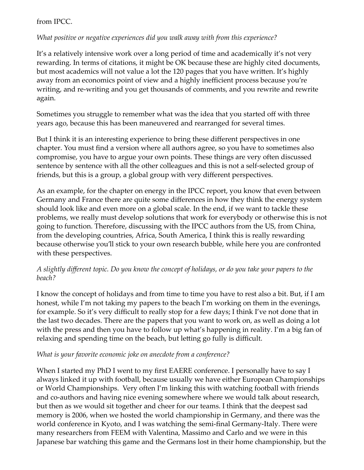### from IPCC.

### *What positive or negative experiences did you walk away with from this experience?*

It's a relatively intensive work over a long period of time and academically it's not very rewarding. In terms of citations, it might be OK because these are highly cited documents, but most academics will not value a lot the 120 pages that you have wri�en. It's highly away from an economics point of view and a highly inefficient process because you're writing, and re-writing and you get thousands of comments, and you rewrite and rewrite again.

Sometimes you struggle to remember what was the idea that you started off with three years ago, because this has been maneuvered and rearranged for several times.

But I think it is an interesting experience to bring these different perspectives in one chapter. You must find a version where all authors agree, so you have to sometimes also compromise, you have to argue your own points. These things are very often discussed sentence by sentence with all the other colleagues and this is not a self-selected group of friends, but this is a group, a global group with very different perspectives.

As an example, for the chapter on energy in the IPCC report, you know that even between Germany and France there are quite some differences in how they think the energy system should look like and even more on a global scale. In the end, if we want to tackle these problems, we really must develop solutions that work for everybody or otherwise this is not going to function. Therefore, discussing with the IPCC authors from the US, from China, from the developing countries, Africa, South America, I think this is really rewarding because otherwise you'll stick to your own research bubble, while here you are confronted with these perspectives.

### *A slightly different topic. Do you know the concept of holidays, or do you take your papers to the beach?*

I know the concept of holidays and from time to time you have to rest also a bit. But, if I am honest, while I'm not taking my papers to the beach I'm working on them in the evenings, for example. So it's very difficult to really stop for a few days; I think I've not done that in the last two decades. There are the papers that you want to work on, as well as doing a lot with the press and then you have to follow up what's happening in reality. I'm a big fan of relaxing and spending time on the beach, but letting go fully is difficult.

#### *What is your favorite economic joke on anecdote from a conference?*

When I started my PhD I went to my first EAERE conference. I personally have to say I always linked it up with football, because usually we have either European Championships or World Championships. Very often I'm linking this with watching football with friends and co-authors and having nice evening somewhere where we would talk about research, but then as we would sit together and cheer for our teams. I think that the deepest sad memory is 2006, when we hosted the world championship in Germany, and there was the world conference in Kyoto, and I was watching the semi-final Germany-Italy. There were many researchers from FEEM with Valentina, Massimo and Carlo and we were in this Japanese bar watching this game and the Germans lost in their home championship, but the